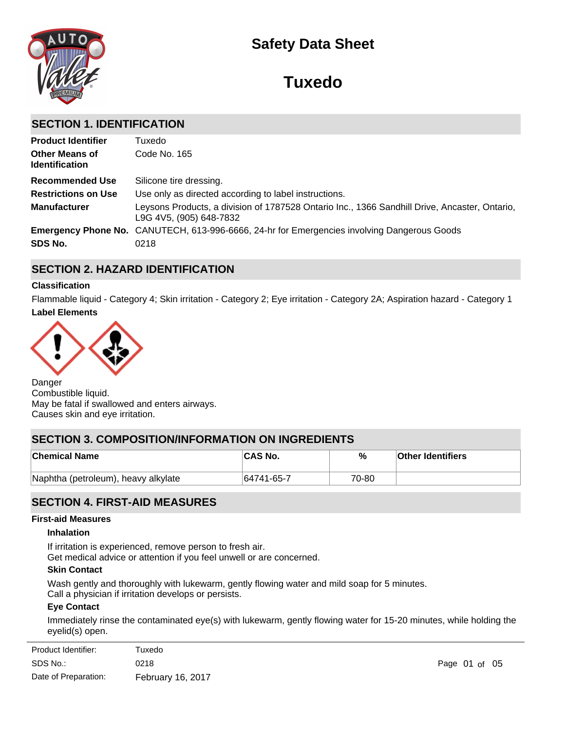

# **Safety Data Sheet**

# **Tuxedo**

# **SECTION 1. IDENTIFICATION**

| <b>Product Identifier</b>                      | Tuxedo                                                                                                                   |
|------------------------------------------------|--------------------------------------------------------------------------------------------------------------------------|
| <b>Other Means of</b><br><b>Identification</b> | Code No. 165                                                                                                             |
| <b>Recommended Use</b>                         | Silicone tire dressing.                                                                                                  |
| <b>Restrictions on Use</b>                     | Use only as directed according to label instructions.                                                                    |
| <b>Manufacturer</b>                            | Leysons Products, a division of 1787528 Ontario Inc., 1366 Sandhill Drive, Ancaster, Ontario,<br>L9G 4V5, (905) 648-7832 |
|                                                | <b>Emergency Phone No.</b> CANUTECH, 613-996-6666, 24-hr for Emergencies involving Dangerous Goods                       |
| SDS No.                                        | 0218                                                                                                                     |

# **SECTION 2. HAZARD IDENTIFICATION**

# **Classification**

**Label Elements** Flammable liquid - Category 4; Skin irritation - Category 2; Eye irritation - Category 2A; Aspiration hazard - Category 1



Danger Combustible liquid. May be fatal if swallowed and enters airways. Causes skin and eye irritation.

# **SECTION 3. COMPOSITION/INFORMATION ON INGREDIENTS**

| <b>Chemical Name</b>                | ∣CAS No.   | %     | <b>Other Identifiers</b> |
|-------------------------------------|------------|-------|--------------------------|
| Naphtha (petroleum), heavy alkylate | 64741-65-7 | 70-80 |                          |

# **SECTION 4. FIRST-AID MEASURES**

### **First-aid Measures**

# **Inhalation**

If irritation is experienced, remove person to fresh air. Get medical advice or attention if you feel unwell or are concerned.

## **Skin Contact**

Wash gently and thoroughly with lukewarm, gently flowing water and mild soap for 5 minutes.

Call a physician if irritation develops or persists.

# **Eye Contact**

Immediately rinse the contaminated eye(s) with lukewarm, gently flowing water for 15-20 minutes, while holding the eyelid(s) open.

| Product Identifier:  | Tuxedo            |               |  |  |
|----------------------|-------------------|---------------|--|--|
| SDS No.:             | 0218              | Page 01 of 05 |  |  |
| Date of Preparation: | February 16, 2017 |               |  |  |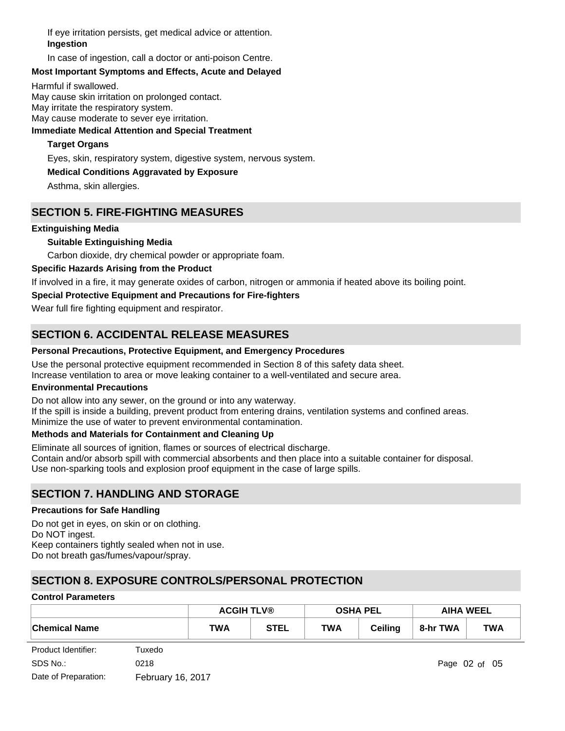If eye irritation persists, get medical advice or attention. **Ingestion**

In case of ingestion, call a doctor or anti-poison Centre.

# **Most Important Symptoms and Effects, Acute and Delayed**

Harmful if swallowed.

May cause skin irritation on prolonged contact. May irritate the respiratory system.

May cause moderate to sever eye irritation.

## **Immediate Medical Attention and Special Treatment**

# **Target Organs**

Eyes, skin, respiratory system, digestive system, nervous system.

# **Medical Conditions Aggravated by Exposure**

Asthma, skin allergies.

# **SECTION 5. FIRE-FIGHTING MEASURES**

## **Extinguishing Media**

# **Suitable Extinguishing Media**

Carbon dioxide, dry chemical powder or appropriate foam.

# **Specific Hazards Arising from the Product**

If involved in a fire, it may generate oxides of carbon, nitrogen or ammonia if heated above its boiling point.

# **Special Protective Equipment and Precautions for Fire-fighters**

Wear full fire fighting equipment and respirator.

# **SECTION 6. ACCIDENTAL RELEASE MEASURES**

### **Personal Precautions, Protective Equipment, and Emergency Procedures**

Use the personal protective equipment recommended in Section 8 of this safety data sheet. Increase ventilation to area or move leaking container to a well-ventilated and secure area.

### **Environmental Precautions**

Do not allow into any sewer, on the ground or into any waterway.

If the spill is inside a building, prevent product from entering drains, ventilation systems and confined areas. Minimize the use of water to prevent environmental contamination.

# **Methods and Materials for Containment and Cleaning Up**

Eliminate all sources of ignition, flames or sources of electrical discharge. Contain and/or absorb spill with commercial absorbents and then place into a suitable container for disposal. Use non-sparking tools and explosion proof equipment in the case of large spills.

# **SECTION 7. HANDLING AND STORAGE**

### **Precautions for Safe Handling**

Do not get in eyes, on skin or on clothing. Do NOT ingest. Keep containers tightly sealed when not in use. Do not breath gas/fumes/vapour/spray.

# **SECTION 8. EXPOSURE CONTROLS/PERSONAL PROTECTION**

### **Control Parameters**

|                      | <b>ACGIH TLV®</b> |             |            | <b>OSHA PEL</b> | <b>AIHA WEEL</b> |            |
|----------------------|-------------------|-------------|------------|-----------------|------------------|------------|
| <b>Chemical Name</b> | TWA               | <b>STEL</b> | <b>TWA</b> | <b>Ceiling</b>  | 8-hr TWA         | <b>TWA</b> |

| Product Identifier:  | Tuxedo            |
|----------------------|-------------------|
| SDS No.:             | 0218              |
| Date of Preparation: | February 16, 2017 |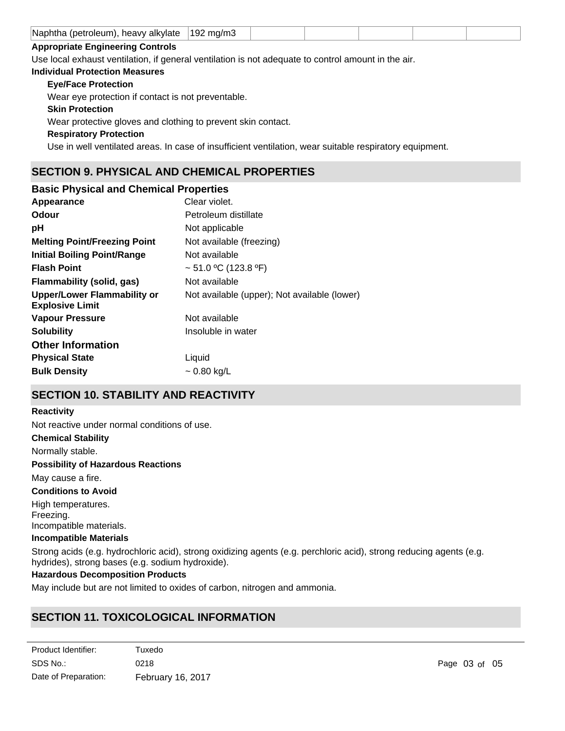|  | Naphtha<br>alkvlate<br>ı (petroleum).<br>heavy | 19<br>ma/<br>ʻHL |  |  |  |  |  |
|--|------------------------------------------------|------------------|--|--|--|--|--|
|--|------------------------------------------------|------------------|--|--|--|--|--|

# **Appropriate Engineering Controls**

Use local exhaust ventilation, if general ventilation is not adequate to control amount in the air.

#### **Individual Protection Measures**

# **Eye/Face Protection**

Wear eye protection if contact is not preventable.

# **Skin Protection**

Wear protective gloves and clothing to prevent skin contact.

**Respiratory Protection**

Use in well ventilated areas. In case of insufficient ventilation, wear suitable respiratory equipment.

# **SECTION 9. PHYSICAL AND CHEMICAL PROPERTIES**

| <b>Basic Physical and Chemical Properties</b>         |                                              |
|-------------------------------------------------------|----------------------------------------------|
| Appearance                                            | Clear violet.                                |
| <b>Odour</b>                                          | Petroleum distillate                         |
| рH                                                    | Not applicable                               |
| <b>Melting Point/Freezing Point</b>                   | Not available (freezing)                     |
| Initial Boiling Point/Range                           | Not available                                |
| <b>Flash Point</b>                                    | $\sim$ 51.0 °C (123.8 °F)                    |
| Flammability (solid, gas)                             | Not available                                |
| Upper/Lower Flammability or<br><b>Explosive Limit</b> | Not available (upper); Not available (lower) |
| <b>Vapour Pressure</b>                                | Not available                                |
| <b>Solubility</b>                                     | Insoluble in water                           |
| <b>Other Information</b>                              |                                              |
| <b>Physical State</b>                                 | Liquid                                       |
| <b>Bulk Density</b>                                   | ~ 0.80 kg/L                                  |

# **SECTION 10. STABILITY AND REACTIVITY**

## **Reactivity**

Not reactive under normal conditions of use.

# **Chemical Stability**

Normally stable.

## **Possibility of Hazardous Reactions**

May cause a fire.

# **Conditions to Avoid**

High temperatures. Freezing. Incompatible materials.

## **Incompatible Materials**

Strong acids (e.g. hydrochloric acid), strong oxidizing agents (e.g. perchloric acid), strong reducing agents (e.g. hydrides), strong bases (e.g. sodium hydroxide).

# **Hazardous Decomposition Products**

May include but are not limited to oxides of carbon, nitrogen and ammonia.

# **SECTION 11. TOXICOLOGICAL INFORMATION**

| Product Identifier:  | Tuxedo            |
|----------------------|-------------------|
| SDS No.:             | 0218              |
| Date of Preparation: | February 16, 2017 |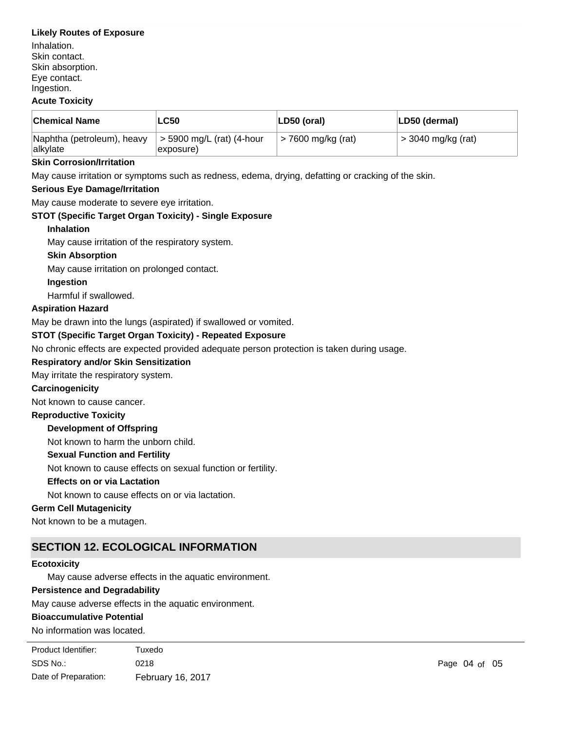# **Likely Routes of Exposure**

Inhalation. Skin contact. Skin absorption. Eye contact. Ingestion.

# **Acute Toxicity**

| <b>Chemical Name</b>                   | LC50                                   | LD50 (oral)        | LD50 (dermal)      |
|----------------------------------------|----------------------------------------|--------------------|--------------------|
| Naphtha (petroleum), heavy<br>alkylate | > 5900 mg/L (rat) (4-hour<br>exposure) | > 7600 mg/kg (rat) | > 3040 mg/kg (rat) |

## **Skin Corrosion/Irritation**

May cause irritation or symptoms such as redness, edema, drying, defatting or cracking of the skin.

# **Serious Eye Damage/Irritation**

May cause moderate to severe eye irritation.

# **STOT (Specific Target Organ Toxicity) - Single Exposure**

### **Inhalation**

May cause irritation of the respiratory system.

# **Skin Absorption**

May cause irritation on prolonged contact.

# **Ingestion**

Harmful if swallowed.

# **Aspiration Hazard**

May be drawn into the lungs (aspirated) if swallowed or vomited.

# **STOT (Specific Target Organ Toxicity) - Repeated Exposure**

No chronic effects are expected provided adequate person protection is taken during usage.

# **Respiratory and/or Skin Sensitization**

May irritate the respiratory system.

## **Carcinogenicity**

Not known to cause cancer.

### **Reproductive Toxicity**

### **Development of Offspring**

Not known to harm the unborn child.

### **Sexual Function and Fertility**

Not known to cause effects on sexual function or fertility.

# **Effects on or via Lactation**

Not known to cause effects on or via lactation.

# **Germ Cell Mutagenicity**

Not known to be a mutagen.

# **SECTION 12. ECOLOGICAL INFORMATION**

# **Ecotoxicity**

May cause adverse effects in the aquatic environment.

### **Persistence and Degradability**

May cause adverse effects in the aquatic environment.

### **Bioaccumulative Potential**

No information was located.

| Product Identifier:  | Tuxedo            |
|----------------------|-------------------|
| SDS No.:             | 0218              |
| Date of Preparation: | February 16, 2017 |